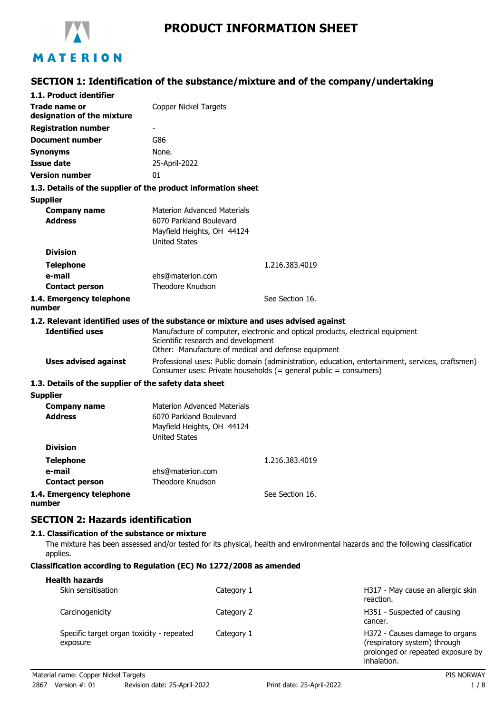

# **SECTION 1: Identification of the substance/mixture and of the company/undertaking**

| 1.1. Product identifier                                       |                                                                                                                                                                              |
|---------------------------------------------------------------|------------------------------------------------------------------------------------------------------------------------------------------------------------------------------|
| Trade name or<br>designation of the mixture                   | <b>Copper Nickel Targets</b>                                                                                                                                                 |
| <b>Registration number</b>                                    |                                                                                                                                                                              |
| <b>Document number</b>                                        | G86                                                                                                                                                                          |
| <b>Synonyms</b>                                               | None.                                                                                                                                                                        |
| <b>Issue date</b>                                             | 25-April-2022                                                                                                                                                                |
| <b>Version number</b>                                         | 01                                                                                                                                                                           |
| 1.3. Details of the supplier of the product information sheet |                                                                                                                                                                              |
| <b>Supplier</b>                                               |                                                                                                                                                                              |
| <b>Company name</b><br><b>Address</b>                         | <b>Materion Advanced Materials</b><br>6070 Parkland Boulevard<br>Mayfield Heights, OH 44124<br><b>United States</b>                                                          |
| <b>Division</b>                                               |                                                                                                                                                                              |
| <b>Telephone</b>                                              | 1.216.383.4019                                                                                                                                                               |
| e-mail                                                        | ehs@materion.com                                                                                                                                                             |
| <b>Contact person</b>                                         | Theodore Knudson                                                                                                                                                             |
| 1.4. Emergency telephone<br>number                            | See Section 16.                                                                                                                                                              |
|                                                               | 1.2. Relevant identified uses of the substance or mixture and uses advised against                                                                                           |
| <b>Identified uses</b>                                        | Manufacture of computer, electronic and optical products, electrical equipment<br>Scientific research and development<br>Other: Manufacture of medical and defense equipment |
| <b>Uses advised against</b>                                   | Professional uses: Public domain (administration, education, entertainment, services, craftsmen)<br>Consumer uses: Private households (= general public = consumers)         |
| 1.3. Details of the supplier of the safety data sheet         |                                                                                                                                                                              |
| <b>Supplier</b>                                               |                                                                                                                                                                              |
| <b>Company name</b><br><b>Address</b>                         | <b>Materion Advanced Materials</b><br>6070 Parkland Boulevard<br>Mayfield Heights, OH 44124<br><b>United States</b>                                                          |
| <b>Division</b>                                               |                                                                                                                                                                              |
| Telephone                                                     | 1.216.383.4019                                                                                                                                                               |
| e-mail                                                        | ehs@materion.com                                                                                                                                                             |
| <b>Contact person</b>                                         | Theodore Knudson                                                                                                                                                             |
| 1.4. Emergency telephone<br>number                            | See Section 16.                                                                                                                                                              |
| <b>SECTION 2: Hazards identification</b>                      |                                                                                                                                                                              |
| 2.1. Classification of the substance or mixture               |                                                                                                                                                                              |
|                                                               | miutuwa kaa kaan peessaad pud/au teetsel feu ito nkusisal ikaaltki pud amijuanmantal kapaude pud tka fellowing elpesifisation                                                |

The mixture has been assessed and/or tested for its physical, health and environmental hazards and the following classification applies.

#### **Classification according to Regulation (EC) No 1272/2008 as amended**

| <b>Health hazards</b><br>Skin sensitisation           | Category 1 | H317 - May cause an allergic skin<br>reaction.                                                                     |
|-------------------------------------------------------|------------|--------------------------------------------------------------------------------------------------------------------|
| Carcinogenicity                                       | Category 2 | H351 - Suspected of causing<br>cancer.                                                                             |
| Specific target organ toxicity - repeated<br>exposure | Category 1 | H372 - Causes damage to organs<br>(respiratory system) through<br>prolonged or repeated exposure by<br>inhalation. |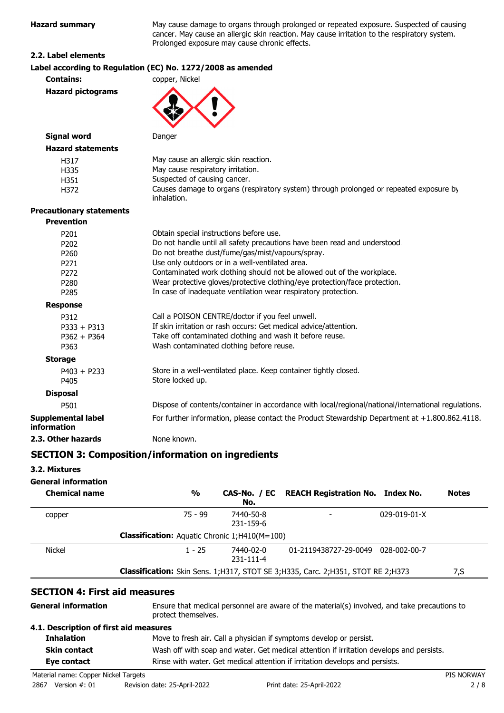| <b>Hazard summary</b>           | May cause damage to organs through prolonged or repeated exposure. Suspected of causi<br>cancer. May cause an allergic skin reaction. May cause irritation to the respiratory system.<br>Prolonged exposure may cause chronic effects. |
|---------------------------------|----------------------------------------------------------------------------------------------------------------------------------------------------------------------------------------------------------------------------------------|
| 2.2. Label elements             |                                                                                                                                                                                                                                        |
|                                 | Label according to Regulation (EC) No. 1272/2008 as amended                                                                                                                                                                            |
| <b>Contains:</b>                | copper, Nickel                                                                                                                                                                                                                         |
| <b>Hazard pictograms</b>        |                                                                                                                                                                                                                                        |
| <b>Signal word</b>              | Danger                                                                                                                                                                                                                                 |
| <b>Hazard statements</b>        |                                                                                                                                                                                                                                        |
| H317                            | May cause an allergic skin reaction.                                                                                                                                                                                                   |
| H335                            | May cause respiratory irritation.                                                                                                                                                                                                      |
| H351                            | Suspected of causing cancer.                                                                                                                                                                                                           |
| H372                            | Causes damage to organs (respiratory system) through prolonged or repeated exposure by<br>inhalation.                                                                                                                                  |
| <b>Precautionary statements</b> |                                                                                                                                                                                                                                        |
| <b>Prevention</b>               |                                                                                                                                                                                                                                        |
| P201                            | Obtain special instructions before use.                                                                                                                                                                                                |
| P202                            | Do not handle until all safety precautions have been read and understood.                                                                                                                                                              |
| P <sub>260</sub>                | Do not breathe dust/fume/gas/mist/vapours/spray.                                                                                                                                                                                       |
| P271                            | Use only outdoors or in a well-ventilated area.                                                                                                                                                                                        |
| P272                            | Contaminated work clothing should not be allowed out of the workplace.                                                                                                                                                                 |
| P280                            | Wear protective gloves/protective clothing/eye protection/face protection.                                                                                                                                                             |
| P285                            | In case of inadequate ventilation wear respiratory protection.                                                                                                                                                                         |
| <b>Response</b>                 |                                                                                                                                                                                                                                        |
| P312                            | Call a POISON CENTRE/doctor if you feel unwell.                                                                                                                                                                                        |
| $P333 + P313$                   | If skin irritation or rash occurs: Get medical advice/attention.                                                                                                                                                                       |
| $P362 + P364$                   | Take off contaminated clothing and wash it before reuse.                                                                                                                                                                               |
| P363                            | Wash contaminated clothing before reuse.                                                                                                                                                                                               |
| <b>Storage</b>                  |                                                                                                                                                                                                                                        |
| $P403 + P233$<br>P405           | Store in a well-ventilated place. Keep container tightly closed.<br>Store locked up.                                                                                                                                                   |
| <b>Disposal</b>                 |                                                                                                                                                                                                                                        |
| DE01                            | Dispose of contents/container in accordance with local/regional/national/international regul                                                                                                                                           |

P501 Dispose of contents/container in accordance with local/regional/national/international regulations. **Supplemental label information** For further information, please contact the Product Stewardship Department at +1.800.862.4118. **2.3. Other hazards** None known.

### **SECTION 3: Composition/information on ingredients**

#### **3.2. Mixtures**

### **General information**

| <b>Chemical name</b> | %                                                    | CAS-No. / EC<br>No.    | <b>REACH Registration No. Index No.</b>                                             |                      | <b>Notes</b> |
|----------------------|------------------------------------------------------|------------------------|-------------------------------------------------------------------------------------|----------------------|--------------|
| copper               | 75 - 99                                              | 7440-50-8<br>231-159-6 |                                                                                     | $029 - 019 - 01 - X$ |              |
|                      | <b>Classification:</b> Aquatic Chronic 1;H410(M=100) |                        |                                                                                     |                      |              |
| <b>Nickel</b>        | $1 - 25$                                             | 7440-02-0<br>231-111-4 | 01-2119438727-29-0049                                                               | 028-002-00-7         |              |
|                      |                                                      |                        | Classification: Skin Sens. 1; H317, STOT SE 3; H335, Carc. 2; H351, STOT RE 2; H373 |                      | 7,S          |

### **SECTION 4: First aid measures**

| <b>General information</b>             | Ensure that medical personnel are aware of the material(s) involved, and take precautions to<br>protect themselves. |
|----------------------------------------|---------------------------------------------------------------------------------------------------------------------|
| 4.1. Description of first aid measures |                                                                                                                     |
| <b>Inhalation</b>                      | Move to fresh air. Call a physician if symptoms develop or persist.                                                 |
| <b>Skin contact</b>                    | Wash off with soap and water. Get medical attention if irritation develops and persists.                            |
| Eye contact                            | Rinse with water. Get medical attention if irritation develops and persists.                                        |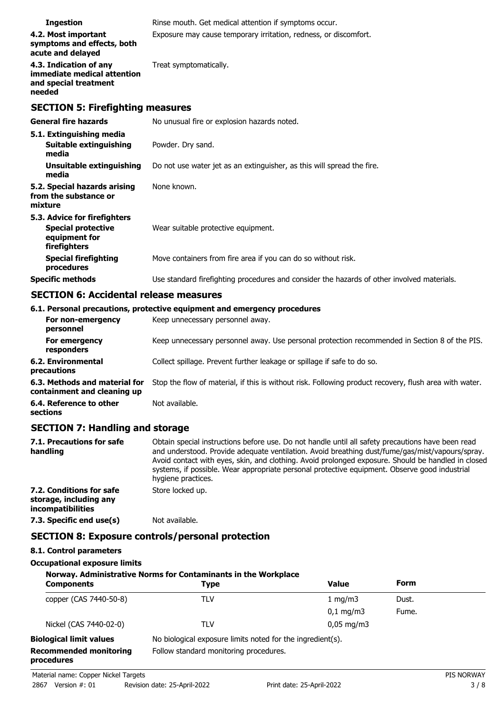| <b>Ingestion</b>                                                                         | Rinse mouth. Get medical attention if symptoms occur.                                      |
|------------------------------------------------------------------------------------------|--------------------------------------------------------------------------------------------|
| 4.2. Most important<br>symptoms and effects, both<br>acute and delayed                   | Exposure may cause temporary irritation, redness, or discomfort.                           |
| 4.3. Indication of any<br>immediate medical attention<br>and special treatment<br>needed | Treat symptomatically.                                                                     |
| <b>SECTION 5: Firefighting measures</b>                                                  |                                                                                            |
| <b>General fire hazards</b>                                                              | No unusual fire or explosion hazards noted.                                                |
| 5.1. Extinguishing media                                                                 |                                                                                            |
| <b>Suitable extinguishing</b><br>media                                                   | Powder. Dry sand.                                                                          |
| Unsuitable extinguishing<br>media                                                        | Do not use water jet as an extinguisher, as this will spread the fire.                     |
| 5.2. Special hazards arising<br>from the substance or<br>mixture                         | None known.                                                                                |
| 5.3. Advice for firefighters                                                             |                                                                                            |
| <b>Special protective</b><br>equipment for<br>firefighters                               | Wear suitable protective equipment.                                                        |
| <b>Special firefighting</b><br>procedures                                                | Move containers from fire area if you can do so without risk.                              |
| <b>Specific methods</b>                                                                  | Use standard firefighting procedures and consider the hazards of other involved materials. |

# **SECTION 6: Accidental release measures**

|                                                              | 6.1. Personal precautions, protective equipment and emergency procedures                               |
|--------------------------------------------------------------|--------------------------------------------------------------------------------------------------------|
| For non-emergency<br>personnel                               | Keep unnecessary personnel away.                                                                       |
| For emergency<br>responders                                  | Keep unnecessary personnel away. Use personal protection recommended in Section 8 of the PIS.          |
| 6.2. Environmental<br>precautions                            | Collect spillage. Prevent further leakage or spillage if safe to do so.                                |
| 6.3. Methods and material for<br>containment and cleaning up | Stop the flow of material, if this is without risk. Following product recovery, flush area with water. |
| 6.4. Reference to other<br>sections                          | Not available.                                                                                         |

### **SECTION 7: Handling and storage**

| 7.1. Precautions for safe<br>handling                                   | Obtain special instructions before use. Do not handle until all safety precautions have been read<br>and understood. Provide adequate ventilation. Avoid breathing dust/fume/gas/mist/vapours/spray.<br>Avoid contact with eyes, skin, and clothing. Avoid prolonged exposure. Should be handled in closed<br>systems, if possible. Wear appropriate personal protective equipment. Observe good industrial<br>hygiene practices. |
|-------------------------------------------------------------------------|-----------------------------------------------------------------------------------------------------------------------------------------------------------------------------------------------------------------------------------------------------------------------------------------------------------------------------------------------------------------------------------------------------------------------------------|
| 7.2. Conditions for safe<br>storage, including any<br>incompatibilities | Store locked up.                                                                                                                                                                                                                                                                                                                                                                                                                  |
| 7.3. Specific end use(s)                                                | Not available.                                                                                                                                                                                                                                                                                                                                                                                                                    |
|                                                                         | <b>SECTION 8: Exposure controls/personal protection</b>                                                                                                                                                                                                                                                                                                                                                                           |

# **8.1. Control parameters**

### **Occupational exposure limits**

#### **Norway. Administrative Norms for Contaminants in the Workplace**

| <b>Components</b>                           | Type                                                       | Value                  | Form  |  |
|---------------------------------------------|------------------------------------------------------------|------------------------|-------|--|
| copper (CAS 7440-50-8)                      | TLV                                                        | 1 mg/m $3$             | Dust. |  |
|                                             |                                                            | $0.1 \text{ mg/m}$     | Fume. |  |
| Nickel (CAS 7440-02-0)                      | TLV                                                        | $0.05 \,\mathrm{mq/m}$ |       |  |
| <b>Biological limit values</b>              | No biological exposure limits noted for the ingredient(s). |                        |       |  |
| <b>Recommended monitoring</b><br>procedures | Follow standard monitoring procedures.                     |                        |       |  |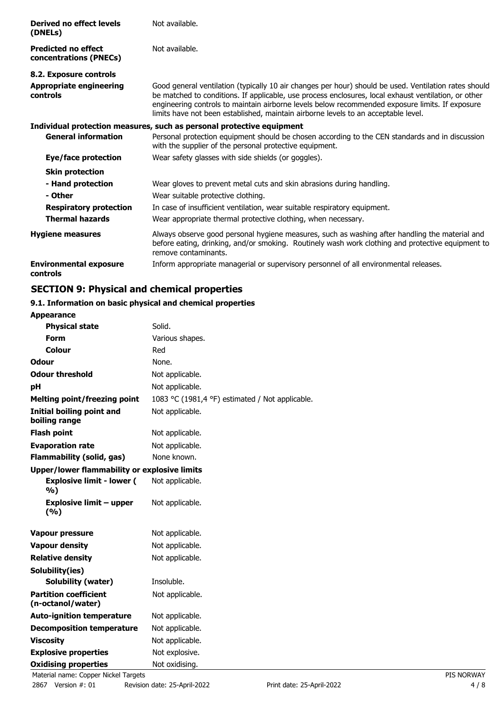| Derived no effect levels<br>(DNELs)                  | Not available.                                                                                                                                                                                                                                                                                                                                                                                         |
|------------------------------------------------------|--------------------------------------------------------------------------------------------------------------------------------------------------------------------------------------------------------------------------------------------------------------------------------------------------------------------------------------------------------------------------------------------------------|
| <b>Predicted no effect</b><br>concentrations (PNECs) | Not available.                                                                                                                                                                                                                                                                                                                                                                                         |
| 8.2. Exposure controls                               |                                                                                                                                                                                                                                                                                                                                                                                                        |
| <b>Appropriate engineering</b><br><b>controls</b>    | Good general ventilation (typically 10 air changes per hour) should be used. Ventilation rates should<br>be matched to conditions. If applicable, use process enclosures, local exhaust ventilation, or other<br>engineering controls to maintain airborne levels below recommended exposure limits. If exposure<br>limits have not been established, maintain airborne levels to an acceptable level. |
|                                                      | Individual protection measures, such as personal protective equipment                                                                                                                                                                                                                                                                                                                                  |
| <b>General information</b>                           | Personal protection equipment should be chosen according to the CEN standards and in discussion<br>with the supplier of the personal protective equipment.                                                                                                                                                                                                                                             |
| Eye/face protection                                  | Wear safety glasses with side shields (or goggles).                                                                                                                                                                                                                                                                                                                                                    |
| <b>Skin protection</b>                               |                                                                                                                                                                                                                                                                                                                                                                                                        |
| - Hand protection                                    | Wear gloves to prevent metal cuts and skin abrasions during handling.                                                                                                                                                                                                                                                                                                                                  |
| - Other                                              | Wear suitable protective clothing.                                                                                                                                                                                                                                                                                                                                                                     |
| <b>Respiratory protection</b>                        | In case of insufficient ventilation, wear suitable respiratory equipment.                                                                                                                                                                                                                                                                                                                              |
| <b>Thermal hazards</b>                               | Wear appropriate thermal protective clothing, when necessary.                                                                                                                                                                                                                                                                                                                                          |
| <b>Hygiene measures</b>                              | Always observe good personal hygiene measures, such as washing after handling the material and<br>before eating, drinking, and/or smoking. Routinely wash work clothing and protective equipment to<br>remove contaminants.                                                                                                                                                                            |
| <b>Environmental exposure</b><br>controls            | Inform appropriate managerial or supervisory personnel of all environmental releases.                                                                                                                                                                                                                                                                                                                  |

# **SECTION 9: Physical and chemical properties**

### **9.1. Information on basic physical and chemical properties**

| <b>Appearance</b>                                   |                                                 |  |
|-----------------------------------------------------|-------------------------------------------------|--|
| <b>Physical state</b>                               | Solid.                                          |  |
| Form                                                | Various shapes.                                 |  |
| Colour                                              | Red                                             |  |
| <b>Odour</b>                                        | None.                                           |  |
| <b>Odour threshold</b>                              | Not applicable.                                 |  |
| рH                                                  | Not applicable.                                 |  |
| <b>Melting point/freezing point</b>                 | 1083 °C (1981,4 °F) estimated / Not applicable. |  |
| <b>Initial boiling point and</b><br>boiling range   | Not applicable.                                 |  |
| <b>Flash point</b>                                  | Not applicable.                                 |  |
| <b>Evaporation rate</b>                             | Not applicable.                                 |  |
| <b>Flammability (solid, gas)</b>                    | None known.                                     |  |
| <b>Upper/lower flammability or explosive limits</b> |                                                 |  |
| <b>Explosive limit - lower (</b><br>%)              | Not applicable.                                 |  |
| <b>Explosive limit - upper</b><br>(%)               | Not applicable.                                 |  |
| <b>Vapour pressure</b>                              | Not applicable.                                 |  |
| <b>Vapour density</b>                               | Not applicable.                                 |  |
| <b>Relative density</b>                             | Not applicable.                                 |  |
| Solubility(ies)                                     |                                                 |  |
| Solubility (water)                                  | Insoluble.                                      |  |
| <b>Partition coefficient</b><br>(n-octanol/water)   | Not applicable.                                 |  |
| <b>Auto-ignition temperature</b>                    | Not applicable.                                 |  |
| <b>Decomposition temperature</b>                    | Not applicable.                                 |  |
| <b>Viscosity</b>                                    | Not applicable.                                 |  |
| <b>Explosive properties</b>                         | Not explosive.                                  |  |
| <b>Oxidising properties</b>                         | Not oxidising.                                  |  |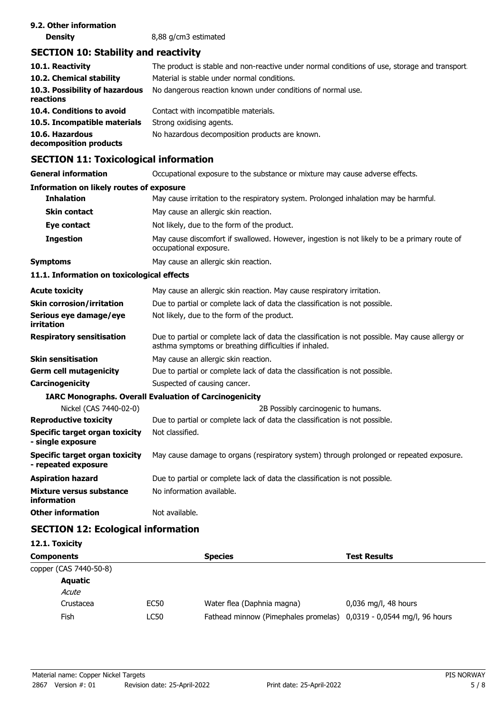| 9.2. Other information |                      |
|------------------------|----------------------|
| <b>Density</b>         | 8,88 g/cm3 estimated |

# **SECTION 10: Stability and reactivity**

| 10.1. Reactivity<br>10.2. Chemical stability | The product is stable and non-reactive under normal conditions of use, storage and transport.<br>Material is stable under normal conditions. |
|----------------------------------------------|----------------------------------------------------------------------------------------------------------------------------------------------|
| 10.3. Possibility of hazardous<br>reactions  | No dangerous reaction known under conditions of normal use.                                                                                  |
| 10.4. Conditions to avoid                    | Contact with incompatible materials.                                                                                                         |
| 10.5. Incompatible materials                 | Strong oxidising agents.                                                                                                                     |
| 10.6. Hazardous<br>decomposition products    | No hazardous decomposition products are known.                                                                                               |

## **SECTION 11: Toxicological information**

**General information CCCUPATION** Occupational exposure to the substance or mixture may cause adverse effects.

#### **Information on likely routes of exposure**

| <b>Inhalation</b>                                     | May cause irritation to the respiratory system. Prolonged inhalation may be harmful.                                                                      |
|-------------------------------------------------------|-----------------------------------------------------------------------------------------------------------------------------------------------------------|
| <b>Skin contact</b>                                   | May cause an allergic skin reaction.                                                                                                                      |
| Eye contact                                           | Not likely, due to the form of the product.                                                                                                               |
| <b>Ingestion</b>                                      | May cause discomfort if swallowed. However, ingestion is not likely to be a primary route of<br>occupational exposure.                                    |
| Symptoms                                              | May cause an allergic skin reaction.                                                                                                                      |
| 11.1. Information on toxicological effects            |                                                                                                                                                           |
| Acute toxicity                                        | May cause an allergic skin reaction. May cause respiratory irritation.                                                                                    |
| Skin corrosion/irritation                             | Due to partial or complete lack of data the classification is not possible.                                                                               |
| Serious eye damage/eye<br>irritation                  | Not likely, due to the form of the product.                                                                                                               |
| <b>Respiratory sensitisation</b>                      | Due to partial or complete lack of data the classification is not possible. May cause allergy or<br>asthma symptoms or breathing difficulties if inhaled. |
| Skin sensitisation                                    | May cause an allergic skin reaction.                                                                                                                      |
| Germ cell mutagenicity                                | Due to partial or complete lack of data the classification is not possible.                                                                               |
| Carcinogenicity                                       | Suspected of causing cancer.                                                                                                                              |
|                                                       | <b>IARC Monographs. Overall Evaluation of Carcinogenicity</b>                                                                                             |
| Nickel (CAS 7440-02-0)                                | 2B Possibly carcinogenic to humans.                                                                                                                       |
| <b>Reproductive toxicity</b>                          | Due to partial or complete lack of data the classification is not possible.                                                                               |
| Specific target organ toxicity<br>- single exposure   | Not classified.                                                                                                                                           |
| Specific target organ toxicity<br>- repeated exposure | May cause damage to organs (respiratory system) through prolonged or repeated exposure.                                                                   |
| Aspiration hazard                                     | Due to partial or complete lack of data the classification is not possible.                                                                               |
| Mixture versus substance<br>information               | No information available.                                                                                                                                 |
| <b>Other information</b>                              | Not available.                                                                                                                                            |

# **SECTION 12: Ecological information**

| 12.1. Toxicity         |             |                                                                     |                        |
|------------------------|-------------|---------------------------------------------------------------------|------------------------|
| <b>Components</b>      |             | <b>Species</b>                                                      | <b>Test Results</b>    |
| copper (CAS 7440-50-8) |             |                                                                     |                        |
| Aquatic                |             |                                                                     |                        |
| Acute                  |             |                                                                     |                        |
| Crustacea              | <b>EC50</b> | Water flea (Daphnia magna)                                          | $0.036$ mg/l, 48 hours |
| Fish                   | LC50        | Fathead minnow (Pimephales promelas) 0,0319 - 0,0544 mg/l, 96 hours |                        |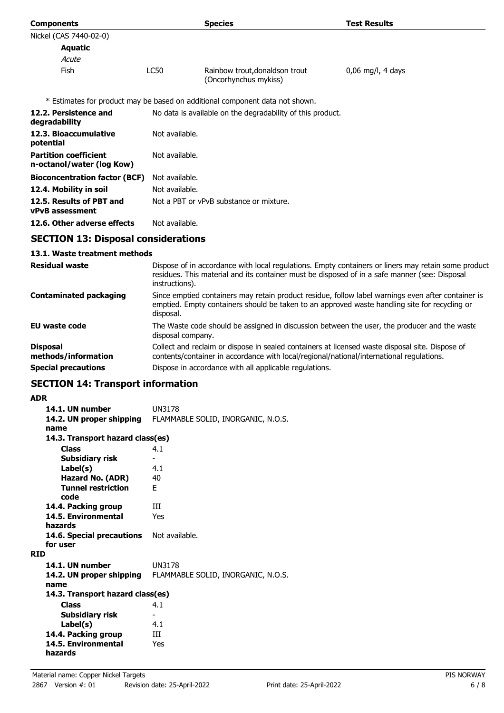| <b>Components</b>                                         |                | <b>Species</b>                                                                                | <b>Test Results</b>                                                                                 |
|-----------------------------------------------------------|----------------|-----------------------------------------------------------------------------------------------|-----------------------------------------------------------------------------------------------------|
| Nickel (CAS 7440-02-0)                                    |                |                                                                                               |                                                                                                     |
| <b>Aquatic</b>                                            |                |                                                                                               |                                                                                                     |
| Acute                                                     |                |                                                                                               |                                                                                                     |
| Fish                                                      | LC50           | Rainbow trout, donaldson trout<br>(Oncorhynchus mykiss)                                       | $0,06$ mg/l, 4 days                                                                                 |
|                                                           |                | * Estimates for product may be based on additional component data not shown.                  |                                                                                                     |
| 12.2. Persistence and<br>degradability                    |                | No data is available on the degradability of this product.                                    |                                                                                                     |
| 12.3. Bioaccumulative<br>potential                        | Not available. |                                                                                               |                                                                                                     |
| <b>Partition coefficient</b><br>n-octanol/water (log Kow) | Not available. |                                                                                               |                                                                                                     |
| <b>Bioconcentration factor (BCF)</b>                      | Not available. |                                                                                               |                                                                                                     |
| 12.4. Mobility in soil                                    | Not available. |                                                                                               |                                                                                                     |
| 12.5. Results of PBT and<br><b>vPvB</b> assessment        |                | Not a PBT or vPvB substance or mixture.                                                       |                                                                                                     |
| 12.6. Other adverse effects                               | Not available. |                                                                                               |                                                                                                     |
| <b>SECTION 13: Disposal considerations</b>                |                |                                                                                               |                                                                                                     |
| 13.1. Waste treatment methods                             |                |                                                                                               |                                                                                                     |
| <b>Residual waste</b>                                     |                | residues. This material and its container must be disposed of in a safe manner (see: Disposal | Dispose of in accordance with local regulations. Empty containers or liners may retain some product |

|                                        | instructions).                                                                                                                                                                                                   |
|----------------------------------------|------------------------------------------------------------------------------------------------------------------------------------------------------------------------------------------------------------------|
| <b>Contaminated packaging</b>          | Since emptied containers may retain product residue, follow label warnings even after container is<br>emptied. Empty containers should be taken to an approved waste handling site for recycling or<br>disposal. |
| EU waste code                          | The Waste code should be assigned in discussion between the user, the producer and the waste<br>disposal company.                                                                                                |
| <b>Disposal</b><br>methods/information | Collect and reclaim or dispose in sealed containers at licensed waste disposal site. Dispose of<br>contents/container in accordance with local/regional/national/international regulations.                      |
| <b>Special precautions</b>             | Dispose in accordance with all applicable regulations.                                                                                                                                                           |

# **SECTION 14: Transport information**

### **ADR**

| AVR                              |                                    |
|----------------------------------|------------------------------------|
| 14.1. UN number                  | <b>UN3178</b>                      |
| 14.2. UN proper shipping         | FLAMMABLE SOLID, INORGANIC, N.O.S. |
| name                             |                                    |
| 14.3. Transport hazard class(es) |                                    |
| <b>Class</b>                     | 4.1                                |
| Subsidiary risk                  |                                    |
| Label(s)                         | 4.1                                |
| <b>Hazard No. (ADR)</b>          | 40                                 |
| <b>Tunnel restriction</b>        | F.                                 |
| code                             |                                    |
| 14.4. Packing group              | Ш                                  |
| 14.5. Environmental              | Yes                                |
| hazards                          |                                    |
| 14.6. Special precautions        | Not available.                     |
| for user                         |                                    |
| <b>RID</b>                       |                                    |
| 14.1. UN number                  | <b>UN3178</b>                      |
| 14.2. UN proper shipping         | FLAMMABLE SOLID, INORGANIC, N.O.S. |
| name                             |                                    |
| 14.3. Transport hazard class(es) |                                    |
| <b>Class</b>                     | 4.1                                |
| Subsidiary risk                  | ۰                                  |
| Label(s)                         | 4.1                                |
| 14.4. Packing group              | Ш                                  |
| 14.5. Environmental              | Yes                                |
| hazards                          |                                    |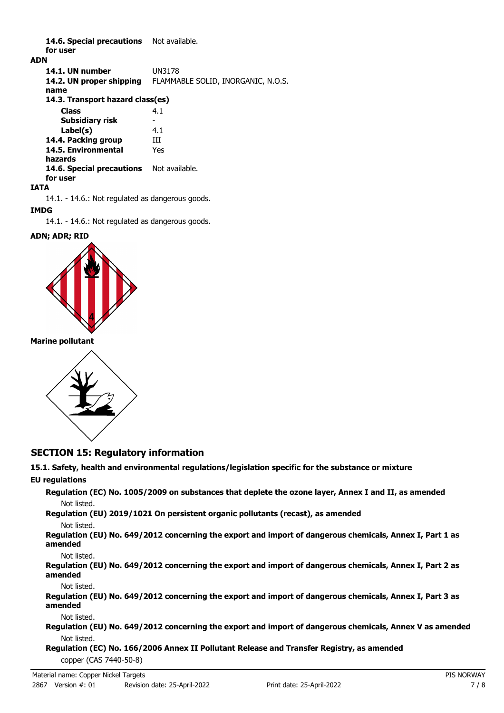14.6. Special precautions Not available. **for user**

#### **ADN**

**14.1. UN number** UN3178 **14.2. UN proper shipping** FLAMMABLE SOLID, INORGANIC, N.O.S. **name Class** 4.1 **14.3. Transport hazard class(es) Subsidiary risk Label(s)** 4.1 **14.4. Packing group III 14.5. Environmental** Yes **hazards** 14.6. Special precautions Not available. **for user**

#### **IATA**

14.1. - 14.6.: Not regulated as dangerous goods.

#### **IMDG**

14.1. - 14.6.: Not regulated as dangerous goods.

#### **ADN; ADR; RID**



**Marine pollutant**



### **SECTION 15: Regulatory information**

# **15.1. Safety, health and environmental regulations/legislation specific for the substance or mixture**

**EU regulations**

**Regulation (EC) No. 1005/2009 on substances that deplete the ozone layer, Annex I and II, as amended** Not listed.

**Regulation (EU) 2019/1021 On persistent organic pollutants (recast), as amended**

Not listed.

**Regulation (EU) No. 649/2012 concerning the export and import of dangerous chemicals, Annex I, Part 1 as amended**

Not listed.

**Regulation (EU) No. 649/2012 concerning the export and import of dangerous chemicals, Annex I, Part 2 as amended**

Not listed.

**Regulation (EU) No. 649/2012 concerning the export and import of dangerous chemicals, Annex I, Part 3 as amended**

Not listed.

**Regulation (EU) No. 649/2012 concerning the export and import of dangerous chemicals, Annex V as amended** Not listed.

**Regulation (EC) No. 166/2006 Annex II Pollutant Release and Transfer Registry, as amended** copper (CAS 7440-50-8)